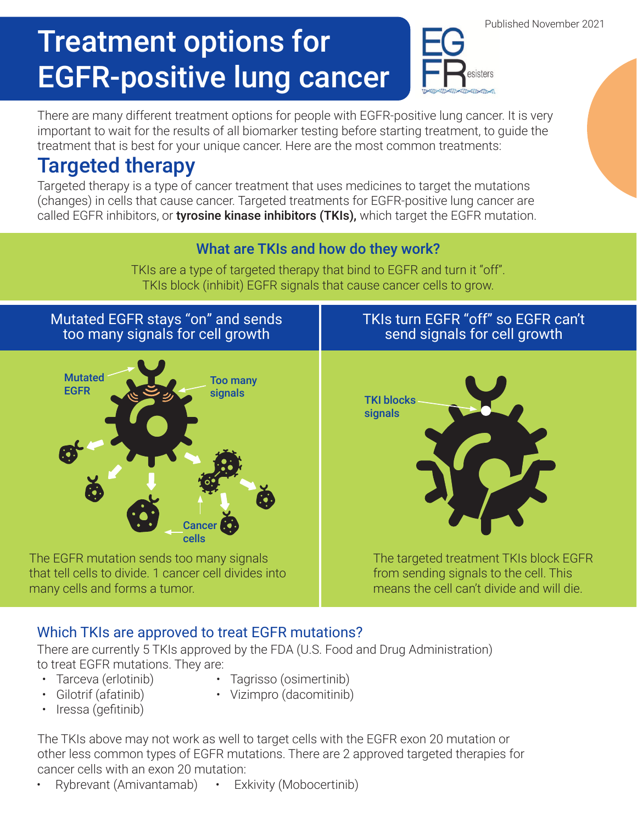# Treatment options for EGFR-positive lung cancer

There are many different treatment options for people with EGFR-positive lung cancer. It is very important to wait for the results of all biomarker testing before starting treatment, to guide the treatment that is best for your unique cancer. Here are the most common treatments:

### Targeted therapy

Targeted therapy is a type of cancer treatment that uses medicines to target the mutations (changes) in cells that cause cancer. Targeted treatments for EGFR-positive lung cancer are called EGFR inhibitors, or tyrosine kinase inhibitors (TKIs), which target the EGFR mutation.

#### What are TKIs and how do they work?

TKIs are a type of targeted therapy that bind to EGFR and turn it "off". TKIs block (inhibit) EGFR signals that cause cancer cells to grow.

Mutated EGFR stays "on" and sends too many signals for cell growth



The EGFR mutation sends too many signals that tell cells to divide. 1 cancer cell divides into many cells and forms a tumor.

### TKIs turn EGFR "off" so EGFR can't send signals for cell growth

sisters



The targeted treatment TKIs block EGFR from sending signals to the cell. This means the cell can't divide and will die.

### Which TKIs are approved to treat EGFR mutations?

There are currently 5 TKIs approved by the FDA (U.S. Food and Drug Administration) to treat EGFR mutations. They are:

- 
- Tarceva (erlotinib) Tagrisso (osimertinib)
- Gilotrif (afatinib)
- Iressa (gefitinib)
- 
- Vizimpro (dacomitinib)

The TKIs above may not work as well to target cells with the EGFR exon 20 mutation or other less common types of EGFR mutations. There are 2 approved targeted therapies for cancer cells with an exon 20 mutation:

• Rybrevant (Amivantamab) • Exkivity (Mobocertinib)